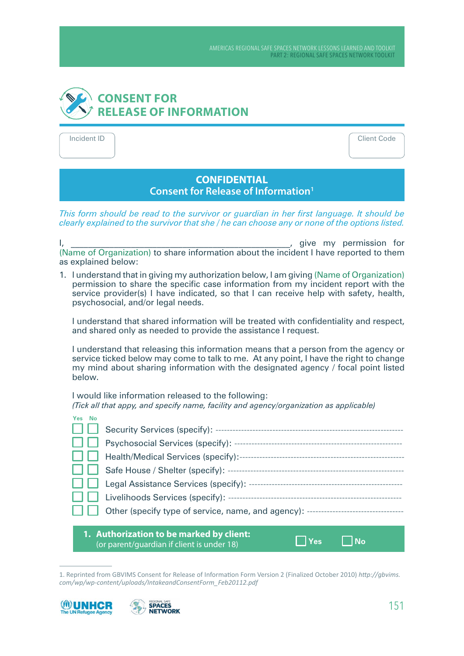## **CONSENT FOR RELEASE OF INFORMATION**

Incident ID Client Code

## **CONFIDENTIAL Consent for Release of Information1**

*This form should be read to the survivor or guardian in her first language. It should be clearly explained to the survivor that she / he can choose any or none of the options listed.*

I, the same of the state of the state of the state of the state of the state of the state of the state of the state of the state of the state of the state of the state of the state of the state of the state of the state of (Name of Organization) to share information about the incident I have reported to them as explained below:

1. I understand that in giving my authorization below, I am giving (Name of Organization) permission to share the specific case information from my incident report with the service provider(s) I have indicated, so that I can receive help with safety, health, psychosocial, and/or legal needs.

I understand that shared information will be treated with confidentiality and respect, and shared only as needed to provide the assistance I request.

I understand that releasing this information means that a person from the agency or service ticked below may come to talk to me. At any point, I have the right to change my mind about sharing information with the designated agency / focal point listed below.

I would like information released to the following: *(Tick all that appy, and specify name, facility and agency/organization as applicable)* 

| Yes No                                                                                        |  |  |  |  |
|-----------------------------------------------------------------------------------------------|--|--|--|--|
|                                                                                               |  |  |  |  |
|                                                                                               |  |  |  |  |
|                                                                                               |  |  |  |  |
|                                                                                               |  |  |  |  |
|                                                                                               |  |  |  |  |
|                                                                                               |  |  |  |  |
|                                                                                               |  |  |  |  |
|                                                                                               |  |  |  |  |
| 1. Authorization to be marked by client:<br>Yes<br>(or parent/guardian if client is under 18) |  |  |  |  |

<sup>1.</sup> Reprinted from GBVIMS Consent for Release of Information Form Version 2 (Finalized October 2010) *http://gbvims.* com/wp/wp-content/uploads/IntakeandConsentForm\_Feb20112.pdf